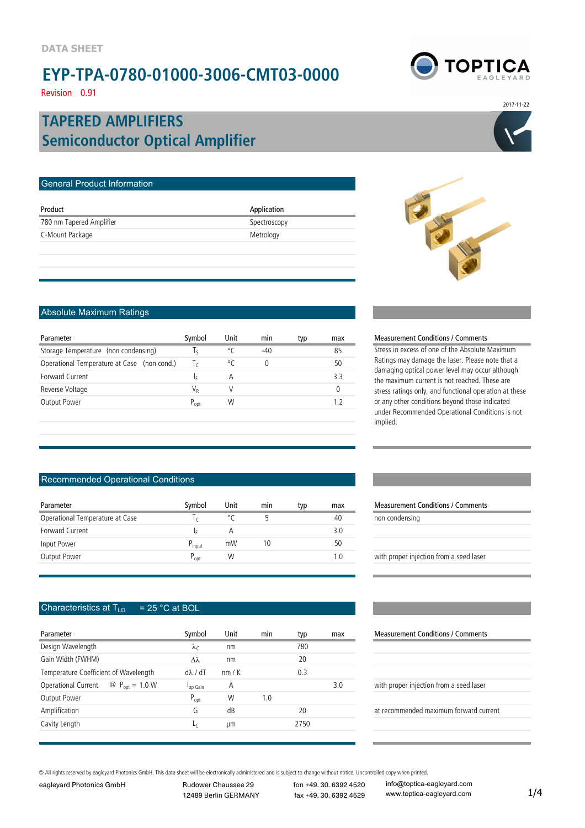

2017-11-22

Revision 0.91

## **Semiconductor Optical Amplifier TAPERED AMPLIFIERS**

| Product                  | Application  |  |  |  |  |
|--------------------------|--------------|--|--|--|--|
| 780 nm Tapered Amplifier | Spectroscopy |  |  |  |  |
| C-Mount Package          | Metrology    |  |  |  |  |
|                          |              |  |  |  |  |



### Absolute Maximum Ratings

General Product Information

| Parameter                                   | Symbol    | Unit | min   | typ | max |
|---------------------------------------------|-----------|------|-------|-----|-----|
| Storage Temperature (non condensing)        | Ιs        | °C   | $-40$ |     | 85  |
| Operational Temperature at Case (non cond.) | Τc        | °۲   | 0     |     | 50  |
| Forward Current                             | Ιc        | А    |       |     | २ २ |
| Reverse Voltage                             | VR        |      |       |     |     |
| <b>Output Power</b>                         | $P_{opt}$ | W    |       |     |     |
|                                             |           |      |       |     |     |

#### Recommended Operational Conditions

| Parameter                       | Svmbol      | Unit | min | typ | max | <b>Measurement Conditions / Comments</b> |
|---------------------------------|-------------|------|-----|-----|-----|------------------------------------------|
| Operational Temperature at Case |             | °C   |     |     | 40  | non condensing                           |
| Forward Current                 | I۵          | Α    |     |     | 3.0 |                                          |
| Input Power                     | P<br>'input | mW   | 10  |     | 50  |                                          |
| Output Power                    | $P_{opt}$   | W    |     |     | 1.0 | with proper injection from a seed laser  |
|                                 |             |      |     |     |     |                                          |

#### Characteristics at  $T_{LD}$  = 25 °C at BOL

| Symbol                 | Unit | min | typ  | max | <b>Measurement Conditions / Comments</b> |
|------------------------|------|-----|------|-----|------------------------------------------|
| $\lambda_{\mathsf{C}}$ | nm   |     | 780  |     |                                          |
| Λλ                     | nm   |     | 20   |     |                                          |
| $d\lambda$ / $dT$      | nm/K |     | 0.3  |     |                                          |
| l <sub>op Gain</sub>   | А    |     |      | 3.0 | with proper injection from a seed laser  |
| $P_{opt}$              | W    | 1.0 |      |     |                                          |
| G                      | dB   |     | 20   |     | at recommended maximum forward current   |
| $\sqrt{ }$             | μm   |     | 2750 |     |                                          |
|                        |      |     |      |     |                                          |

#### Measurement Conditions / Comments

Stress in excess of one of the Absolute Maximum Ratings may damage the laser. Please note that a damaging optical power level may occur although the maximum current is not reached. These are stress ratings only, and functional operation at these or any other conditions beyond those indicated under Recommended Operational Conditions is not implied.

| Measurement Conditions / Comments       |  |  |  |  |
|-----------------------------------------|--|--|--|--|
| non condensing                          |  |  |  |  |
|                                         |  |  |  |  |
|                                         |  |  |  |  |
| with proper injection from a seed laser |  |  |  |  |
|                                         |  |  |  |  |

#### **Measurement Conditions / Comments**

| with proper injection from a seed laser |
|-----------------------------------------|
| at recommended maximum forward current  |
|                                         |
|                                         |

© All rights reserved by eagleyard Photonics GmbH. This data sheet will be electronically administered and is subject to change without notice. Uncontrolled copy when printed.

eagleyard Photonics GmbH Rudower Chaussee 29 fon +49. 30. 6392 4520 12489 Berlin GERMANY fax +49. 30. 6392 4529

info@toptica-eagleyard.com www.toptica-eagleyard.com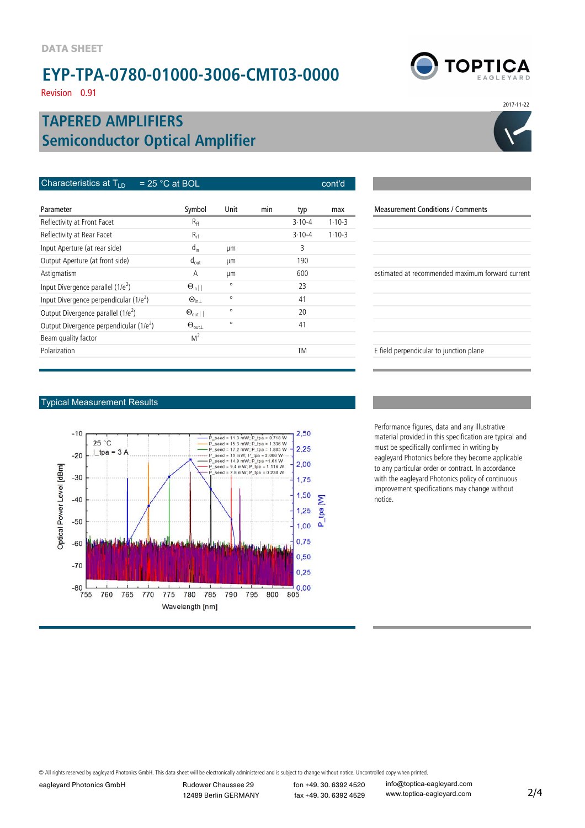Revision 0.91

## **Semiconductor Optical Amplifier TAPERED AMPLIFIERS**

| Characteristics at $T_{\text{LD}}$<br>$= 25 °C$ at BOL<br>cont'd |                            |         |     |            |              |  |  |
|------------------------------------------------------------------|----------------------------|---------|-----|------------|--------------|--|--|
|                                                                  |                            |         |     |            |              |  |  |
| Parameter                                                        | Symbol                     | Unit    | min | typ        | max          |  |  |
| Reflectivity at Front Facet                                      | $R_{\rm ff}$               |         |     | $3.10 - 4$ | $1 - 10 - 3$ |  |  |
| Reflectivity at Rear Facet                                       | $R_{rf}$                   |         |     | $3.10 - 4$ | $1 - 10 - 3$ |  |  |
| Input Aperture (at rear side)                                    | $d_{in}$                   | μm      |     | 3          |              |  |  |
| Output Aperture (at front side)                                  | $d_{out}$                  | μm      |     | 190        |              |  |  |
| Astigmatism                                                      | A                          | μm      |     | 600        |              |  |  |
| Input Divergence parallel $(1/e^2)$                              | $\Theta_{\text{in}}$       | $\circ$ |     | 23         |              |  |  |
| Input Divergence perpendicular $(1/e^2)$                         | $\Theta_{\ln 1}$           | $\circ$ |     | 41         |              |  |  |
| Output Divergence parallel (1/e <sup>2</sup> )                   | $\Theta_{\text{out}}$      | $\circ$ |     | 20         |              |  |  |
| Output Divergence perpendicular $(1/e^2)$                        | $\Theta_{\text{out}\perp}$ | $\circ$ |     | 41         |              |  |  |
| Beam quality factor                                              | M <sup>2</sup>             |         |     |            |              |  |  |
| Polarization                                                     |                            |         |     | TM         |              |  |  |
|                                                                  |                            |         |     |            |              |  |  |

# Measurement Conditions / Comments estimated at recommended maximum forward current E field perpendicular to junction plane

#### Typical Measurement Results



Performance figures, data and any illustrative material provided in this specification are typical and must be specifically confirmed in writing by eagleyard Photonics before they become applicable to any particular order or contract. In accordance with the eagleyard Photonics policy of continuous improvement specifications may change without notice.

© All rights reserved by eagleyard Photonics GmbH. This data sheet will be electronically administered and is subject to change without notice. Uncontrolled copy when printed.

12489 Berlin GERMANY fax +49. 30. 6392 4529

eagleyard Photonics GmbH Rudower Chaussee 29 fon +49. 30. 6392 4520



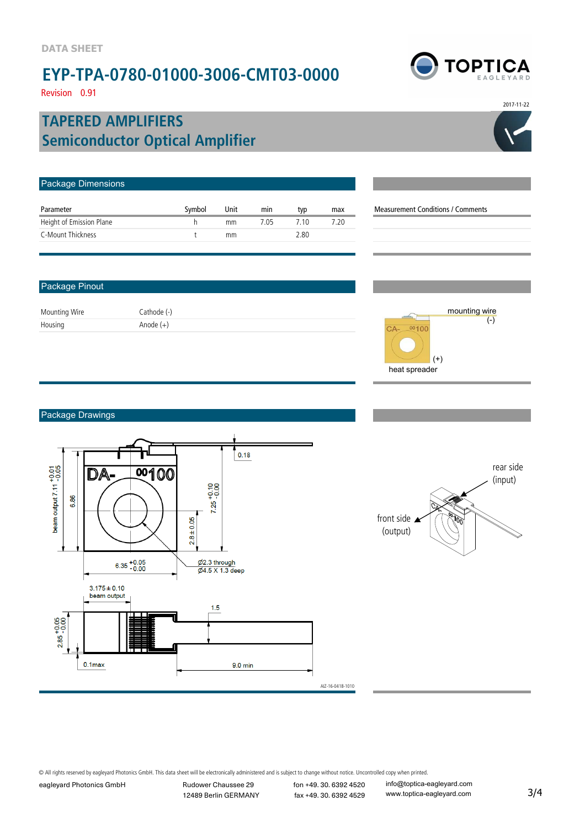

2017-11-22

Revision 0.91

## **Semiconductor Optical Amplifier TAPERED AMPLIFIERS**

| Package Dimensions       |        |               |      |      |      |                                          |
|--------------------------|--------|---------------|------|------|------|------------------------------------------|
| Parameter                | Symbol | Unit          | min  | typ  | max  | <b>Measurement Conditions / Comments</b> |
| Height of Emission Plane |        | mm            | 7.05 | 7.10 | 7.20 |                                          |
| C-Mount Thickness        |        | <sub>mm</sub> |      | 2.80 |      |                                          |
|                          |        |               |      |      |      |                                          |

#### Package Pinout

Mounting Wire Cathode (-) Housing Anode (+)



#### Package Drawings





© All rights reserved by eagleyard Photonics GmbH. This data sheet will be electronically administered and is subject to change without notice. Uncontrolled copy when printed.

eagleyard Photonics GmbH Rudower Chaussee 29 fon +49. 30. 6392 4520

12489 Berlin GERMANY fax +49. 30. 6392 4529

info@toptica-eagleyard.com www.toptica-eagleyard.com